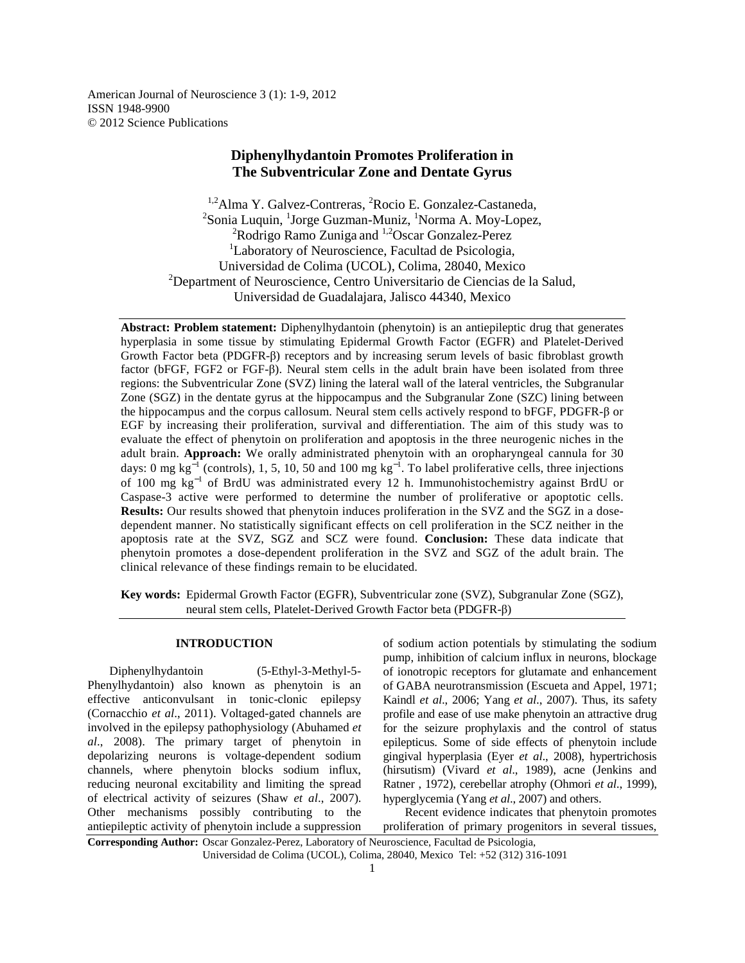American Journal of Neuroscience 3 (1): 1-9, 2012 ISSN 1948-9900 © 2012 Science Publications

# **Diphenylhydantoin Promotes Proliferation in The Subventricular Zone and Dentate Gyrus**

 $1.2$ Alma Y. Galvez-Contreras,  ${}^{2}$ Rocio E. Gonzalez-Castaneda, <sup>2</sup>Sonia Luquin, <sup>1</sup>Jorge Guzman-Muniz, <sup>1</sup>Norma A. Moy-Lopez, <sup>2</sup>Rodrigo Ramo Zuniga and <sup>1,2</sup>Oscar Gonzalez-Perez <sup>1</sup>Laboratory of Neuroscience, Facultad de Psicologia, Universidad de Colima (UCOL), Colima, 28040, Mexico <sup>2</sup>Department of Neuroscience, Centro Universitario de Ciencias de la Salud, Universidad de Guadalajara, Jalisco 44340, Mexico

**Abstract: Problem statement:** Diphenylhydantoin (phenytoin) is an antiepileptic drug that generates hyperplasia in some tissue by stimulating Epidermal Growth Factor (EGFR) and Platelet-Derived Growth Factor beta (PDGFR-β) receptors and by increasing serum levels of basic fibroblast growth factor (bFGF, FGF2 or FGF-β). Neural stem cells in the adult brain have been isolated from three regions: the Subventricular Zone (SVZ) lining the lateral wall of the lateral ventricles, the Subgranular Zone (SGZ) in the dentate gyrus at the hippocampus and the Subgranular Zone (SZC) lining between the hippocampus and the corpus callosum. Neural stem cells actively respond to bFGF, PDGFR-β or EGF by increasing their proliferation, survival and differentiation. The aim of this study was to evaluate the effect of phenytoin on proliferation and apoptosis in the three neurogenic niches in the adult brain. **Approach:** We orally administrated phenytoin with an oropharyngeal cannula for 30 days: 0 mg  $kg^{-1}$  (controls), 1, 5, 10, 50 and 100 mg  $kg^{-1}$ . To label proliferative cells, three injections of 100 mg kg<sup>-1</sup> of BrdU was administrated every 12 h. Immunohistochemistry against BrdU or Caspase-3 active were performed to determine the number of proliferative or apoptotic cells. **Results:** Our results showed that phenytoin induces proliferation in the SVZ and the SGZ in a dosedependent manner. No statistically significant effects on cell proliferation in the SCZ neither in the apoptosis rate at the SVZ, SGZ and SCZ were found. **Conclusion:** These data indicate that phenytoin promotes a dose-dependent proliferation in the SVZ and SGZ of the adult brain. The clinical relevance of these findings remain to be elucidated.

**Key words:** Epidermal Growth Factor (EGFR), Subventricular zone (SVZ), Subgranular Zone (SGZ), neural stem cells, Platelet-Derived Growth Factor beta (PDGFR-β)

# **INTRODUCTION**

 Diphenylhydantoin (5-Ethyl-3-Methyl-5- Phenylhydantoin) also known as phenytoin is an effective anticonvulsant in tonic-clonic epilepsy (Cornacchio *et al*., 2011). Voltaged-gated channels are involved in the epilepsy pathophysiology (Abuhamed *et al*., 2008). The primary target of phenytoin in depolarizing neurons is voltage-dependent sodium channels, where phenytoin blocks sodium influx, reducing neuronal excitability and limiting the spread of electrical activity of seizures (Shaw *et al*., 2007). Other mechanisms possibly contributing to the antiepileptic activity of phenytoin include a suppression of sodium action potentials by stimulating the sodium pump, inhibition of calcium influx in neurons, blockage of ionotropic receptors for glutamate and enhancement of GABA neurotransmission (Escueta and Appel, 1971; Kaindl *et al*., 2006; Yang *et al*., 2007). Thus, its safety profile and ease of use make phenytoin an attractive drug for the seizure prophylaxis and the control of status epilepticus. Some of side effects of phenytoin include gingival hyperplasia (Eyer *et al*., 2008), hypertrichosis (hirsutism) (Vivard *et al*., 1989), acne (Jenkins and Ratner , 1972), cerebellar atrophy (Ohmori *et al*., 1999), hyperglycemia (Yang *et al*., 2007) and others.

 Recent evidence indicates that phenytoin promotes proliferation of primary progenitors in several tissues,

**Corresponding Author:** Oscar Gonzalez-Perez, Laboratory of Neuroscience, Facultad de Psicologia, Universidad de Colima (UCOL), Colima, 28040, Mexico Tel: +52 (312) 316-1091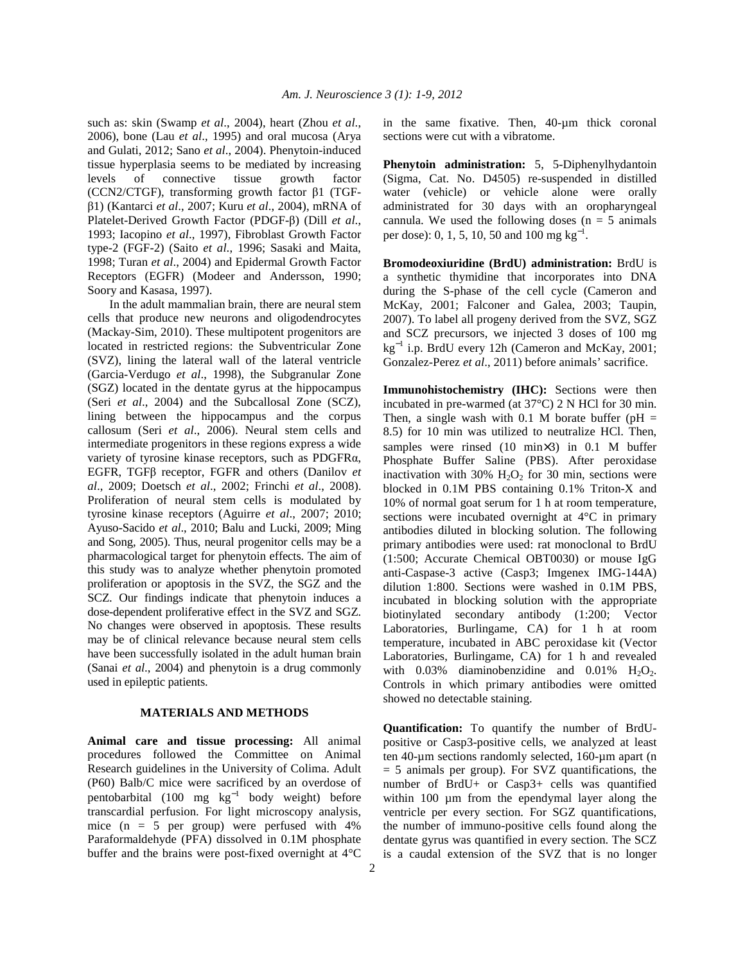such as: skin (Swamp *et al*., 2004), heart (Zhou *et al*., 2006), bone (Lau *et al*., 1995) and oral mucosa (Arya and Gulati, 2012; Sano *et al*., 2004). Phenytoin-induced tissue hyperplasia seems to be mediated by increasing levels of connective tissue growth factor (CCN2/CTGF), transforming growth factor β1 (TGFβ1) (Kantarci *et al*., 2007; Kuru *et al*., 2004), mRNA of Platelet-Derived Growth Factor (PDGF-β) (Dill *et al*., 1993; Iacopino *et al*., 1997), Fibroblast Growth Factor type-2 (FGF-2) (Saito *et al*., 1996; Sasaki and Maita, 1998; Turan *et al*., 2004) and Epidermal Growth Factor Receptors (EGFR) (Modeer and Andersson, 1990; Soory and Kasasa, 1997).

 In the adult mammalian brain, there are neural stem cells that produce new neurons and oligodendrocytes (Mackay-Sim, 2010). These multipotent progenitors are located in restricted regions: the Subventricular Zone (SVZ), lining the lateral wall of the lateral ventricle (Garcia-Verdugo *et al*., 1998), the Subgranular Zone (SGZ) located in the dentate gyrus at the hippocampus (Seri *et al*., 2004) and the Subcallosal Zone (SCZ), lining between the hippocampus and the corpus callosum (Seri *et al*., 2006). Neural stem cells and intermediate progenitors in these regions express a wide variety of tyrosine kinase receptors, such as PDGFRα, EGFR, TGFβ receptor, FGFR and others (Danilov *et al*., 2009; Doetsch *et al*., 2002; Frinchi *et al*., 2008). Proliferation of neural stem cells is modulated by tyrosine kinase receptors (Aguirre *et al*., 2007; 2010; Ayuso-Sacido *et al*., 2010; Balu and Lucki, 2009; Ming and Song, 2005). Thus, neural progenitor cells may be a pharmacological target for phenytoin effects. The aim of this study was to analyze whether phenytoin promoted proliferation or apoptosis in the SVZ, the SGZ and the SCZ. Our findings indicate that phenytoin induces a dose-dependent proliferative effect in the SVZ and SGZ. No changes were observed in apoptosis. These results may be of clinical relevance because neural stem cells have been successfully isolated in the adult human brain (Sanai *et al*., 2004) and phenytoin is a drug commonly used in epileptic patients.

# **MATERIALS AND METHODS**

**Animal care and tissue processing:** All animal procedures followed the Committee on Animal Research guidelines in the University of Colima. Adult (P60) Balb/C mice were sacrificed by an overdose of pentobarbital (100 mg  $kg^{-1}$  body weight) before transcardial perfusion. For light microscopy analysis, mice (n = 5 per group) were perfused with 4% Paraformaldehyde (PFA) dissolved in 0.1M phosphate buffer and the brains were post-fixed overnight at 4°C

in the same fixative. Then, 40-µm thick coronal sections were cut with a vibratome.

**Phenytoin administration:** 5, 5-Diphenylhydantoin (Sigma, Cat. No. D4505) re-suspended in distilled water (vehicle) or vehicle alone were orally administrated for 30 days with an oropharyngeal cannula. We used the following doses ( $n = 5$  animals per dose): 0, 1, 5, 10, 50 and 100 mg  $kg^{-1}$ .

**Bromodeoxiuridine (BrdU) administration:** BrdU is a synthetic thymidine that incorporates into DNA during the S-phase of the cell cycle (Cameron and McKay, 2001; Falconer and Galea, 2003; Taupin, 2007). To label all progeny derived from the SVZ, SGZ and SCZ precursors, we injected 3 doses of 100 mg kg<sup>−</sup><sup>1</sup> i.p. BrdU every 12h (Cameron and McKay, 2001; Gonzalez-Perez *et al*., 2011) before animals' sacrifice.

**Immunohistochemistry (IHC):** Sections were then incubated in pre-warmed (at 37°C) 2 N HCl for 30 min. Then, a single wash with 0.1 M borate buffer ( $pH =$ 8.5) for 10 min was utilized to neutralize HCl. Then, samples were rinsed (10 min×3) in 0.1 M buffer Phosphate Buffer Saline (PBS). After peroxidase inactivation with 30%  $H_2O_2$  for 30 min, sections were blocked in 0.1M PBS containing 0.1% Triton-X and 10% of normal goat serum for 1 h at room temperature, sections were incubated overnight at 4°C in primary antibodies diluted in blocking solution. The following primary antibodies were used: rat monoclonal to BrdU (1:500; Accurate Chemical OBT0030) or mouse IgG anti-Caspase-3 active (Casp3; Imgenex IMG-144A) dilution 1:800. Sections were washed in 0.1M PBS, incubated in blocking solution with the appropriate biotinylated secondary antibody (1:200; Vector Laboratories, Burlingame, CA) for 1 h at room temperature, incubated in ABC peroxidase kit (Vector Laboratories, Burlingame, CA) for 1 h and revealed with  $0.03\%$  diaminobenzidine and  $0.01\%$  H<sub>2</sub>O<sub>2</sub>. Controls in which primary antibodies were omitted showed no detectable staining.

**Quantification:** To quantify the number of BrdUpositive or Casp3-positive cells, we analyzed at least ten 40-µm sections randomly selected, 160-µm apart (n  $= 5$  animals per group). For SVZ quantifications, the number of BrdU+ or Casp3+ cells was quantified within 100  $\mu$ m from the ependymal layer along the ventricle per every section. For SGZ quantifications, the number of immuno-positive cells found along the dentate gyrus was quantified in every section. The SCZ is a caudal extension of the SVZ that is no longer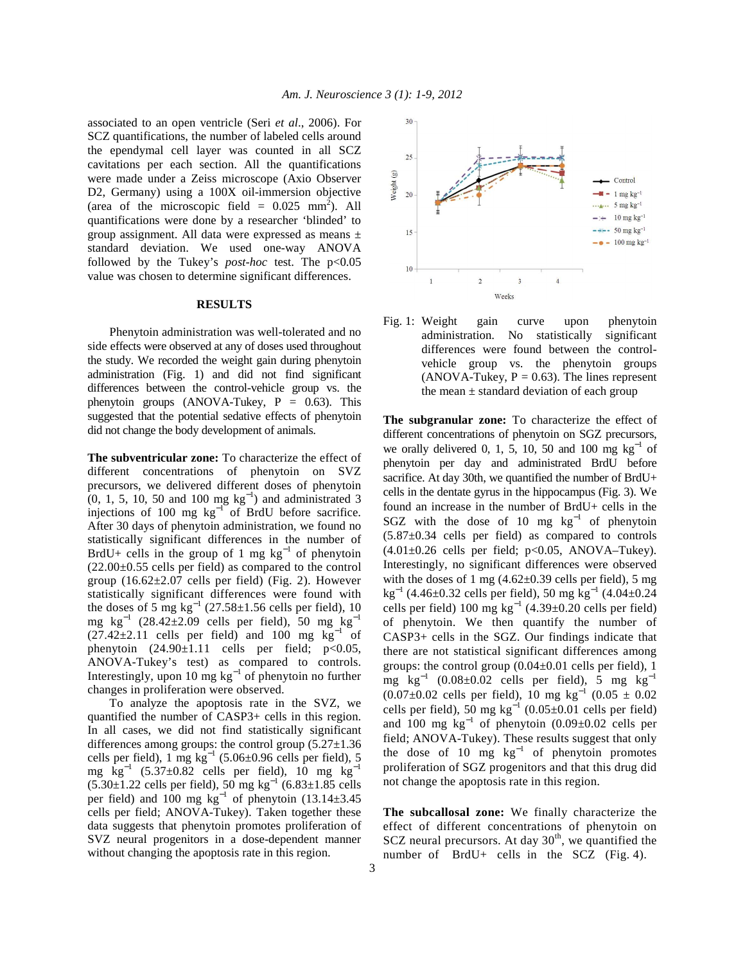associated to an open ventricle (Seri *et al*., 2006). For SCZ quantifications, the number of labeled cells around the ependymal cell layer was counted in all SCZ cavitations per each section. All the quantifications were made under a Zeiss microscope (Axio Observer D2, Germany) using a 100X oil-immersion objective (area of the microscopic field =  $0.025$  mm<sup>2</sup>). All quantifications were done by a researcher 'blinded' to group assignment. All data were expressed as means ± standard deviation. We used one-way ANOVA followed by the Tukey's *post-hoc* test. The  $p<0.05$ value was chosen to determine significant differences.

# **RESULTS**

 Phenytoin administration was well-tolerated and no side effects were observed at any of doses used throughout the study. We recorded the weight gain during phenytoin administration (Fig. 1) and did not find significant differences between the control-vehicle group vs. the phenytoin groups (ANOVA-Tukey,  $P = 0.63$ ). This suggested that the potential sedative effects of phenytoin did not change the body development of animals.

**The subventricular zone:** To characterize the effect of different concentrations of phenytoin on SVZ precursors, we delivered different doses of phenytoin  $(0, 1, 5, 10, 50, 100 \text{ mg kg}^{-1})$  and administrated 3 injections of 100 mg  $kg^{-1}$  of BrdU before sacrifice. After 30 days of phenytoin administration, we found no statistically significant differences in the number of BrdU+ cells in the group of 1 mg  $kg^{-1}$  of phenytoin (22.00±0.55 cells per field) as compared to the control group  $(16.62 \pm 2.07 \text{ cells per field})$  (Fig. 2). However statistically significant differences were found with the doses of 5 mg  $kg^{-1}$  (27.58±1.56 cells per field), 10 mg kg<sup>-1</sup> (28.42±2.09 cells per field), 50 mg kg<sup>-1</sup>  $(27.42\pm2.11$  cells per field) and 100 mg kg<sup>-1</sup> of phenytoin  $(24.90 \pm 1.11$  cells per field; p<0.05, ANOVA-Tukey's test) as compared to controls. Interestingly, upon 10 mg  $kg^{-1}$  of phenytoin no further changes in proliferation were observed.

 To analyze the apoptosis rate in the SVZ, we quantified the number of CASP3+ cells in this region. In all cases, we did not find statistically significant differences among groups: the control group  $(5.27 \pm 1.36)$ cells per field),  $1 \text{ mg kg}^{-1}$  (5.06±0.96 cells per field), 5 mg  $\text{kg}^{-1}$  (5.37±0.82 cells per field), 10 mg  $\text{kg}^{-1}$  $(5.30±1.22$  cells per field),  $50$  mg kg<sup>-1</sup>  $(6.83±1.85$  cells per field) and 100 mg  $\text{kg}^{-1}$  of phenytoin (13.14±3.45 cells per field; ANOVA-Tukey). Taken together these data suggests that phenytoin promotes proliferation of SVZ neural progenitors in a dose-dependent manner without changing the apoptosis rate in this region.



Fig. 1: Weight gain curve upon phenytoin administration. No statistically significant differences were found between the controlvehicle group vs. the phenytoin groups (ANOVA-Tukey,  $P = 0.63$ ). The lines represent the mean  $\pm$  standard deviation of each group

**The subgranular zone:** To characterize the effect of different concentrations of phenytoin on SGZ precursors, we orally delivered 0, 1, 5, 10, 50 and 100 mg  $kg^{-1}$  of phenytoin per day and administrated BrdU before sacrifice. At day 30th, we quantified the number of BrdU+ cells in the dentate gyrus in the hippocampus (Fig. 3). We found an increase in the number of BrdU+ cells in the SGZ with the dose of 10 mg  $kg^{-1}$  of phenytoin  $(5.87\pm0.34$  cells per field) as compared to controls  $(4.01\pm0.26$  cells per field; p<0.05, ANOVA–Tukey). Interestingly, no significant differences were observed with the doses of 1 mg  $(4.62\pm0.39 \text{ cells per field})$ , 5 mg kg<sup>-1</sup> (4.46±0.32 cells per field), 50 mg kg<sup>-1</sup> (4.04±0.24 cells per field) 100 mg  $kg^{-1}$  (4.39±0.20 cells per field) of phenytoin. We then quantify the number of CASP3+ cells in the SGZ. Our findings indicate that there are not statistical significant differences among groups: the control group (0.04±0.01 cells per field), 1 mg kg<sup>-1</sup> (0.08±0.02 cells per field), 5 mg kg<sup>-1</sup>  $(0.07\pm0.02$  cells per field), 10 mg kg<sup>-1</sup>  $(0.05 \pm 0.02)$ cells per field), 50 mg  $kg^{-1}$  (0.05±0.01 cells per field) and 100 mg  $kg^{-1}$  of phenytoin (0.09±0.02 cells per field; ANOVA-Tukey). These results suggest that only the dose of 10 mg  $kg^{-1}$  of phenytoin promotes proliferation of SGZ progenitors and that this drug did not change the apoptosis rate in this region.

**The subcallosal zone:** We finally characterize the effect of different concentrations of phenytoin on  $SCZ$  neural precursors. At day  $30<sup>th</sup>$ , we quantified the number of BrdU+ cells in the SCZ (Fig. 4).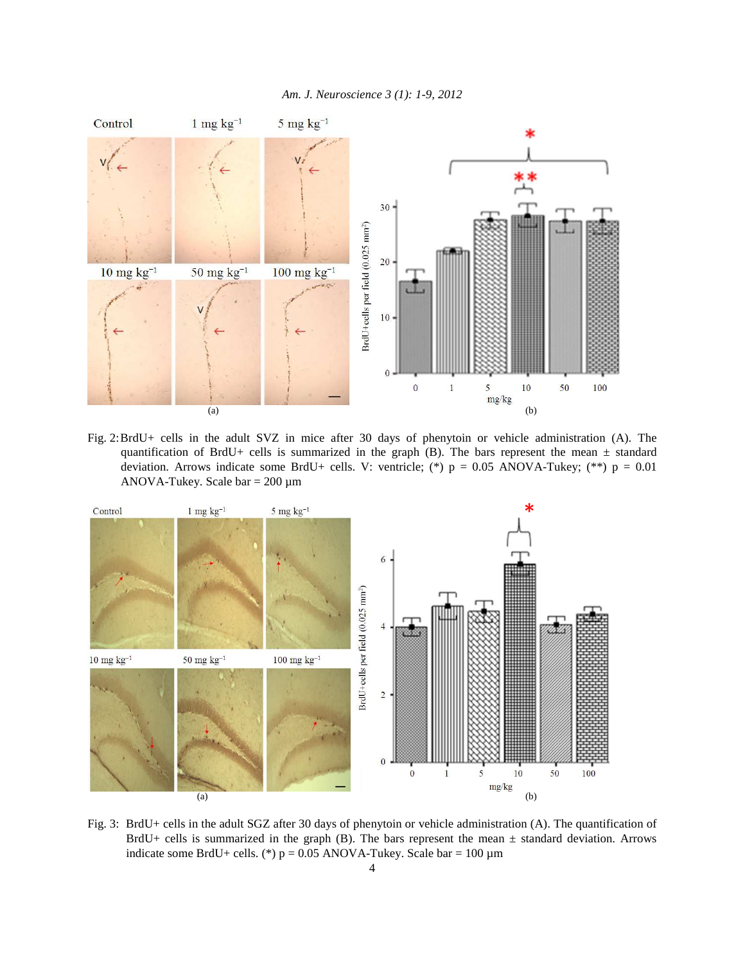|  | Am. J. Neuroscience 3 (1): 1-9, 2012 |  |  |  |  |
|--|--------------------------------------|--|--|--|--|
|--|--------------------------------------|--|--|--|--|



Fig. 2: BrdU+ cells in the adult SVZ in mice after 30 days of phenytoin or vehicle administration (A). The quantification of BrdU+ cells is summarized in the graph (B). The bars represent the mean  $\pm$  standard deviation. Arrows indicate some BrdU+ cells. V: ventricle; (\*)  $p = 0.05$  ANOVA-Tukey; (\*\*)  $p = 0.01$ ANOVA-Tukey. Scale bar  $= 200 \mu m$ 



Fig. 3: BrdU+ cells in the adult SGZ after 30 days of phenytoin or vehicle administration (A). The quantification of BrdU+ cells is summarized in the graph (B). The bars represent the mean ± standard deviation. Arrows indicate some BrdU+ cells. (\*)  $p = 0.05$  ANOVA-Tukey. Scale bar = 100 µm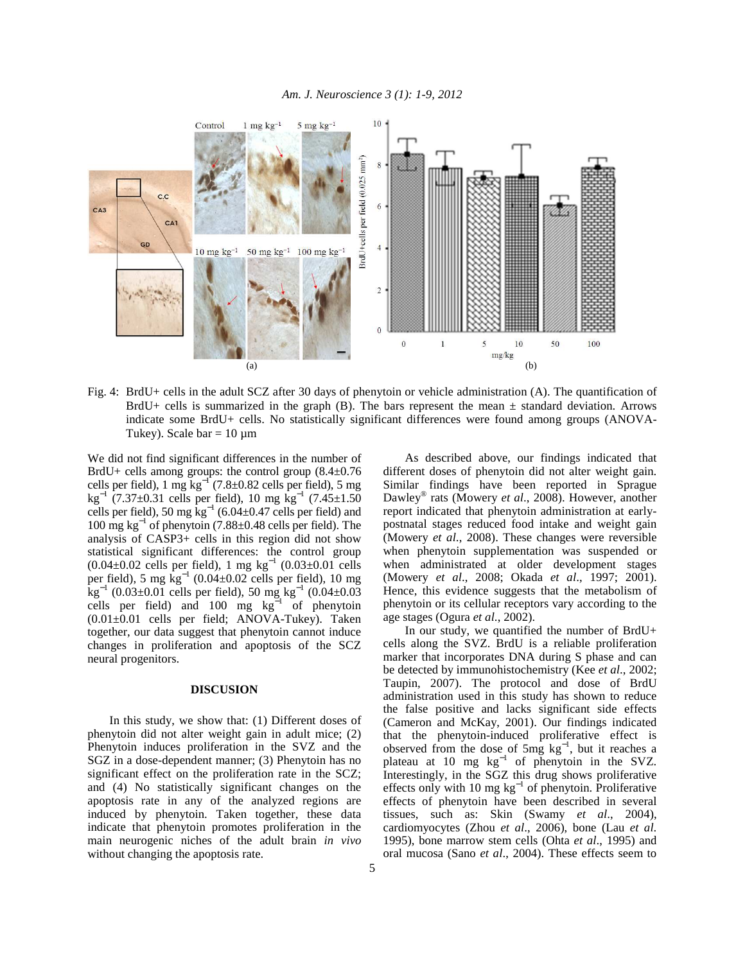

Fig. 4: BrdU+ cells in the adult SCZ after 30 days of phenytoin or vehicle administration (A). The quantification of BrdU+ cells is summarized in the graph  $(B)$ . The bars represent the mean  $\pm$  standard deviation. Arrows indicate some BrdU+ cells. No statistically significant differences were found among groups (ANOVA-Tukey). Scale bar =  $10 \mu m$ 

We did not find significant differences in the number of BrdU+ cells among groups: the control group  $(8.4\pm0.76$ cells per field), 1 mg  $kg^{-1}(7.8 \pm 0.82 \text{ cells per field})$ , 5 mg  $\text{kg}^{-1}$  (7.37±0.31 cells per field), 10 mg  $\text{kg}^{-1}$  (7.45±1.50 cells per field), 50 mg  $kg^{-1}$  (6.04±0.47 cells per field) and 100 mg kg<sup>−</sup><sup>1</sup> of phenytoin (7.88±0.48 cells per field). The analysis of CASP3+ cells in this region did not show statistical significant differences: the control group  $(0.04 \pm 0.02$  cells per field), 1 mg kg<sup>-1</sup>  $(0.03 \pm 0.01$  cells per field), 5 mg  $\text{kg}^{-1}$  (0.04±0.02 cells per field), 10 mg  $\text{kg}^{-1}$  (0.03±0.01 cells per field), 50 mg kg<sup>-1</sup> (0.04±0.03 cells per field) and 100 mg  $kg<sup>−1</sup>$  of phenytoin  $(0.01\pm0.01$  cells per field; ANOVA-Tukey). Taken together, our data suggest that phenytoin cannot induce changes in proliferation and apoptosis of the SCZ neural progenitors.

#### **DISCUSION**

 In this study, we show that: (1) Different doses of phenytoin did not alter weight gain in adult mice; (2) Phenytoin induces proliferation in the SVZ and the SGZ in a dose-dependent manner; (3) Phenytoin has no significant effect on the proliferation rate in the SCZ; and (4) No statistically significant changes on the apoptosis rate in any of the analyzed regions are induced by phenytoin. Taken together, these data indicate that phenytoin promotes proliferation in the main neurogenic niches of the adult brain *in vivo*  without changing the apoptosis rate.

 As described above, our findings indicated that different doses of phenytoin did not alter weight gain. Similar findings have been reported in Sprague Dawley® rats (Mowery *et al*., 2008). However, another report indicated that phenytoin administration at earlypostnatal stages reduced food intake and weight gain (Mowery *et al*., 2008). These changes were reversible when phenytoin supplementation was suspended or when administrated at older development stages (Mowery *et al*., 2008; Okada *et al*., 1997; 2001). Hence, this evidence suggests that the metabolism of phenytoin or its cellular receptors vary according to the age stages (Ogura *et al*., 2002).

 In our study, we quantified the number of BrdU+ cells along the SVZ. BrdU is a reliable proliferation marker that incorporates DNA during S phase and can be detected by immunohistochemistry (Kee *et al*., 2002; Taupin, 2007). The protocol and dose of BrdU administration used in this study has shown to reduce the false positive and lacks significant side effects (Cameron and McKay, 2001). Our findings indicated that the phenytoin-induced proliferative effect is observed from the dose of 5mg  $kg^{-1}$ , but it reaches a plateau at 10 mg kg<sup>-1</sup> of phenytoin in the SVZ. Interestingly, in the SGZ this drug shows proliferative effects only with 10 mg  $kg^{-1}$  of phenytoin. Proliferative effects of phenytoin have been described in several tissues, such as: Skin (Swamy *et al*., 2004), cardiomyocytes (Zhou *et al*., 2006), bone (Lau *et al*. 1995), bone marrow stem cells (Ohta *et al*., 1995) and oral mucosa (Sano *et al*., 2004). These effects seem to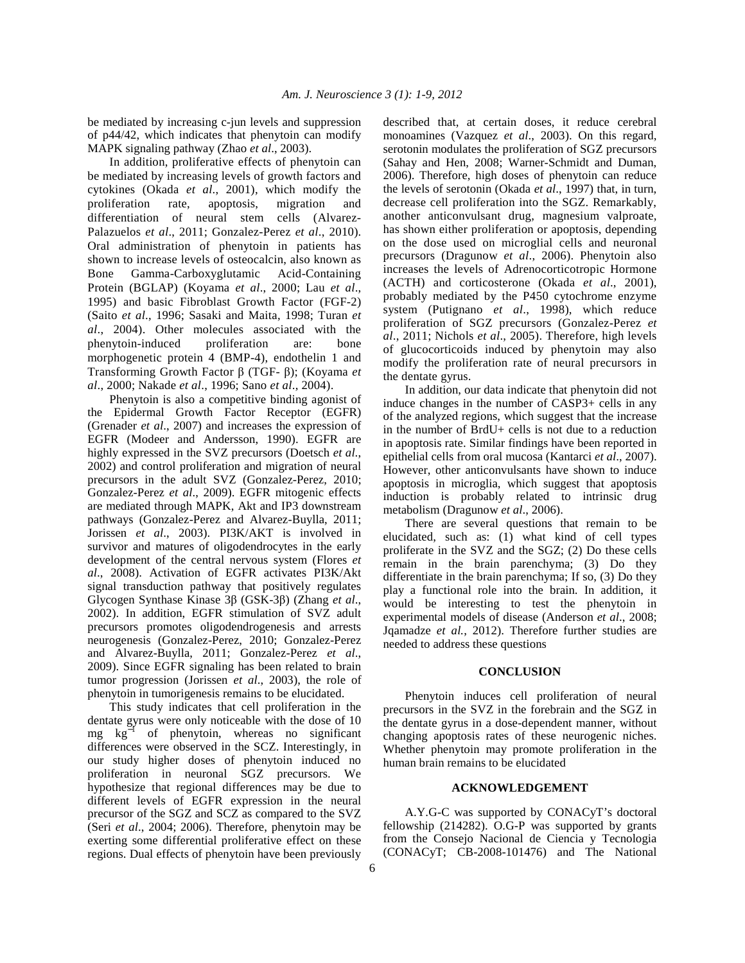be mediated by increasing c-jun levels and suppression of p44/42, which indicates that phenytoin can modify MAPK signaling pathway (Zhao *et al*., 2003).

 In addition, proliferative effects of phenytoin can be mediated by increasing levels of growth factors and cytokines (Okada *et al*., 2001), which modify the proliferation rate, apoptosis, migration and differentiation of neural stem cells (Alvarez-Palazuelos *et al*., 2011; Gonzalez-Perez *et al*., 2010). Oral administration of phenytoin in patients has shown to increase levels of osteocalcin, also known as Bone Gamma-Carboxyglutamic Acid-Containing Protein (BGLAP) (Koyama *et al*., 2000; Lau *et al*., 1995) and basic Fibroblast Growth Factor (FGF-2) (Saito *et al*., 1996; Sasaki and Maita, 1998; Turan *et al*., 2004). Other molecules associated with the phenytoin-induced proliferation are: bone morphogenetic protein 4 (BMP-4), endothelin 1 and Transforming Growth Factor β (TGF- β); (Koyama *et al*., 2000; Nakade *et al*., 1996; Sano *et al*., 2004).

 Phenytoin is also a competitive binding agonist of the Epidermal Growth Factor Receptor (EGFR) (Grenader *et al*., 2007) and increases the expression of EGFR (Modeer and Andersson, 1990). EGFR are highly expressed in the SVZ precursors (Doetsch *et al*., 2002) and control proliferation and migration of neural precursors in the adult SVZ (Gonzalez-Perez, 2010; Gonzalez-Perez *et al*., 2009). EGFR mitogenic effects are mediated through MAPK, Akt and IP3 downstream pathways (Gonzalez-Perez and Alvarez-Buylla, 2011; Jorissen *et al*., 2003). PI3K/AKT is involved in survivor and matures of oligodendrocytes in the early development of the central nervous system (Flores *et al*., 2008). Activation of EGFR activates PI3K/Akt signal transduction pathway that positively regulates Glycogen Synthase Kinase 3β (GSK-3β) (Zhang *et al*., 2002). In addition, EGFR stimulation of SVZ adult precursors promotes oligodendrogenesis and arrests neurogenesis (Gonzalez-Perez, 2010; Gonzalez-Perez and Alvarez-Buylla, 2011; Gonzalez-Perez *et al*., 2009). Since EGFR signaling has been related to brain tumor progression (Jorissen *et al*., 2003), the role of phenytoin in tumorigenesis remains to be elucidated.

 This study indicates that cell proliferation in the dentate gyrus were only noticeable with the dose of 10 mg kg<sup>-1</sup> of phenytoin, whereas no significant differences were observed in the SCZ. Interestingly, in our study higher doses of phenytoin induced no proliferation in neuronal SGZ precursors. We hypothesize that regional differences may be due to different levels of EGFR expression in the neural precursor of the SGZ and SCZ as compared to the SVZ (Seri *et al*., 2004; 2006). Therefore, phenytoin may be exerting some differential proliferative effect on these regions. Dual effects of phenytoin have been previously

described that, at certain doses, it reduce cerebral monoamines (Vazquez *et al*., 2003). On this regard, serotonin modulates the proliferation of SGZ precursors (Sahay and Hen, 2008; Warner-Schmidt and Duman, 2006). Therefore, high doses of phenytoin can reduce the levels of serotonin (Okada *et al*., 1997) that, in turn, decrease cell proliferation into the SGZ. Remarkably, another anticonvulsant drug, magnesium valproate, has shown either proliferation or apoptosis, depending on the dose used on microglial cells and neuronal precursors (Dragunow *et al*., 2006). Phenytoin also increases the levels of Adrenocorticotropic Hormone (ACTH) and corticosterone (Okada *et al*., 2001), probably mediated by the P450 cytochrome enzyme system (Putignano *et al*., 1998), which reduce proliferation of SGZ precursors (Gonzalez-Perez *et al*., 2011; Nichols *et al*., 2005). Therefore, high levels of glucocorticoids induced by phenytoin may also modify the proliferation rate of neural precursors in the dentate gyrus.

 In addition, our data indicate that phenytoin did not induce changes in the number of CASP3+ cells in any of the analyzed regions, which suggest that the increase in the number of BrdU+ cells is not due to a reduction in apoptosis rate. Similar findings have been reported in epithelial cells from oral mucosa (Kantarci *et al*., 2007). However, other anticonvulsants have shown to induce apoptosis in microglia, which suggest that apoptosis induction is probably related to intrinsic drug metabolism (Dragunow *et al*., 2006).

 There are several questions that remain to be elucidated, such as: (1) what kind of cell types proliferate in the SVZ and the SGZ; (2) Do these cells remain in the brain parenchyma; (3) Do they differentiate in the brain parenchyma; If so, (3) Do they play a functional role into the brain. In addition, it would be interesting to test the phenytoin in experimental models of disease (Anderson *et al*., 2008; Jqamadze *et al.*, 2012). Therefore further studies are needed to address these questions

#### **CONCLUSION**

 Phenytoin induces cell proliferation of neural precursors in the SVZ in the forebrain and the SGZ in the dentate gyrus in a dose-dependent manner, without changing apoptosis rates of these neurogenic niches. Whether phenytoin may promote proliferation in the human brain remains to be elucidated

# **ACKNOWLEDGEMENT**

 A.Y.G-C was supported by CONACyT's doctoral fellowship (214282). O.G-P was supported by grants from the Consejo Nacional de Ciencia y Tecnologia (CONACyT; CB-2008-101476) and The National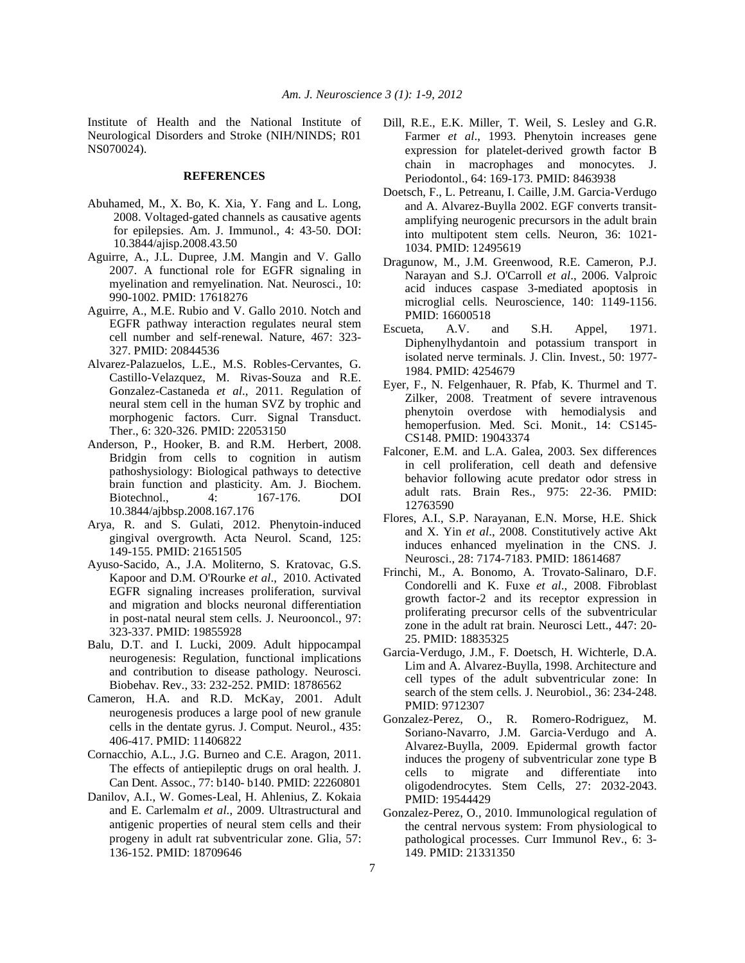Institute of Health and the National Institute of Neurological Disorders and Stroke (NIH/NINDS; R01 NS070024).

# **REFERENCES**

- Abuhamed, M., X. Bo, K. Xia, Y. Fang and L. Long, 2008. Voltaged-gated channels as causative agents for epilepsies. Am. J. Immunol., 4: 43-50. DOI: 10.3844/ajisp.2008.43.50
- Aguirre, A., J.L. Dupree, J.M. Mangin and V. Gallo 2007. A functional role for EGFR signaling in myelination and remyelination. Nat. Neurosci., 10: 990-1002. PMID: 17618276
- Aguirre, A., M.E. Rubio and V. Gallo 2010. Notch and EGFR pathway interaction regulates neural stem cell number and self-renewal. Nature, 467: 323- 327. PMID: 20844536
- Alvarez-Palazuelos, L.E., M.S. Robles-Cervantes, G. Castillo-Velazquez, M. Rivas-Souza and R.E. Gonzalez-Castaneda *et al*., 2011. Regulation of neural stem cell in the human SVZ by trophic and morphogenic factors. Curr. Signal Transduct. Ther., 6: 320-326. PMID: 22053150
- Anderson, P., Hooker, B. and R.M. Herbert, 2008. Bridgin from cells to cognition in autism pathoshysiology: Biological pathways to detective brain function and plasticity. Am. J. Biochem. Biotechnol., 4: 167-176. DOI 10.3844/ajbbsp.2008.167.176
- Arya, R. and S. Gulati, 2012. Phenytoin-induced gingival overgrowth. Acta Neurol. Scand, 125: 149-155. PMID: 21651505
- Ayuso-Sacido, A., J.A. Moliterno, S. Kratovac, G.S. Kapoor and D.M. O'Rourke *et al*., 2010. Activated EGFR signaling increases proliferation, survival and migration and blocks neuronal differentiation in post-natal neural stem cells. J. Neurooncol., 97: 323-337. PMID: 19855928
- Balu, D.T. and I. Lucki, 2009. Adult hippocampal neurogenesis: Regulation, functional implications and contribution to disease pathology. Neurosci. Biobehav. Rev., 33: 232-252. PMID: 18786562
- Cameron, H.A. and R.D. McKay, 2001. Adult neurogenesis produces a large pool of new granule cells in the dentate gyrus. J. Comput. Neurol., 435: 406-417. PMID: 11406822
- Cornacchio, A.L., J.G. Burneo and C.E. Aragon, 2011. The effects of antiepileptic drugs on oral health. J. Can Dent. Assoc., 77: b140- b140. PMID: 22260801
- Danilov, A.I., W. Gomes-Leal, H. Ahlenius, Z. Kokaia and E. Carlemalm *et al*., 2009. Ultrastructural and antigenic properties of neural stem cells and their progeny in adult rat subventricular zone. Glia, 57: 136-152. PMID: 18709646
- Dill, R.E., E.K. Miller, T. Weil, S. Lesley and G.R. Farmer *et al*., 1993. Phenytoin increases gene expression for platelet-derived growth factor B chain in macrophages and monocytes. J. Periodontol., 64: 169-173. PMID: 8463938
- Doetsch, F., L. Petreanu, I. Caille, J.M. Garcia-Verdugo and A. Alvarez-Buylla 2002. EGF converts transitamplifying neurogenic precursors in the adult brain into multipotent stem cells. Neuron, 36: 1021- 1034. PMID: 12495619
- Dragunow, M., J.M. Greenwood, R.E. Cameron, P.J. Narayan and S.J. O'Carroll *et al*., 2006. Valproic acid induces caspase 3-mediated apoptosis in microglial cells. Neuroscience, 140: 1149-1156. PMID: 16600518
- Escueta, A.V. and S.H. Appel, 1971. Diphenylhydantoin and potassium transport in isolated nerve terminals. J. Clin. Invest., 50: 1977- 1984. PMID: 4254679
- Eyer, F., N. Felgenhauer, R. Pfab, K. Thurmel and T. Zilker, 2008. Treatment of severe intravenous phenytoin overdose with hemodialysis and hemoperfusion. Med. Sci. Monit., 14: CS145- CS148. PMID: 19043374
- Falconer, E.M. and L.A. Galea, 2003. Sex differences in cell proliferation, cell death and defensive behavior following acute predator odor stress in adult rats. Brain Res., 975: 22-36. PMID: 12763590
- Flores, A.I., S.P. Narayanan, E.N. Morse, H.E. Shick and X. Yin *et al*., 2008. Constitutively active Akt induces enhanced myelination in the CNS. J. Neurosci., 28: 7174-7183. PMID: 18614687
- Frinchi, M., A. Bonomo, A. Trovato-Salinaro, D.F. Condorelli and K. Fuxe *et al*., 2008. Fibroblast growth factor-2 and its receptor expression in proliferating precursor cells of the subventricular zone in the adult rat brain. Neurosci Lett., 447: 20- 25. PMID: 18835325
- Garcia-Verdugo, J.M., F. Doetsch, H. Wichterle, D.A. Lim and A. Alvarez-Buylla, 1998. Architecture and cell types of the adult subventricular zone: In search of the stem cells. J. Neurobiol., 36: 234-248. PMID: 9712307
- Gonzalez-Perez, O., R. Romero-Rodriguez, M. Soriano-Navarro, J.M. Garcia-Verdugo and A. Alvarez-Buylla, 2009. Epidermal growth factor induces the progeny of subventricular zone type B cells to migrate and differentiate into oligodendrocytes. Stem Cells, 27: 2032-2043. PMID: 19544429
- Gonzalez-Perez, O., 2010. Immunological regulation of the central nervous system: From physiological to pathological processes. Curr Immunol Rev., 6: 3- 149. PMID: 21331350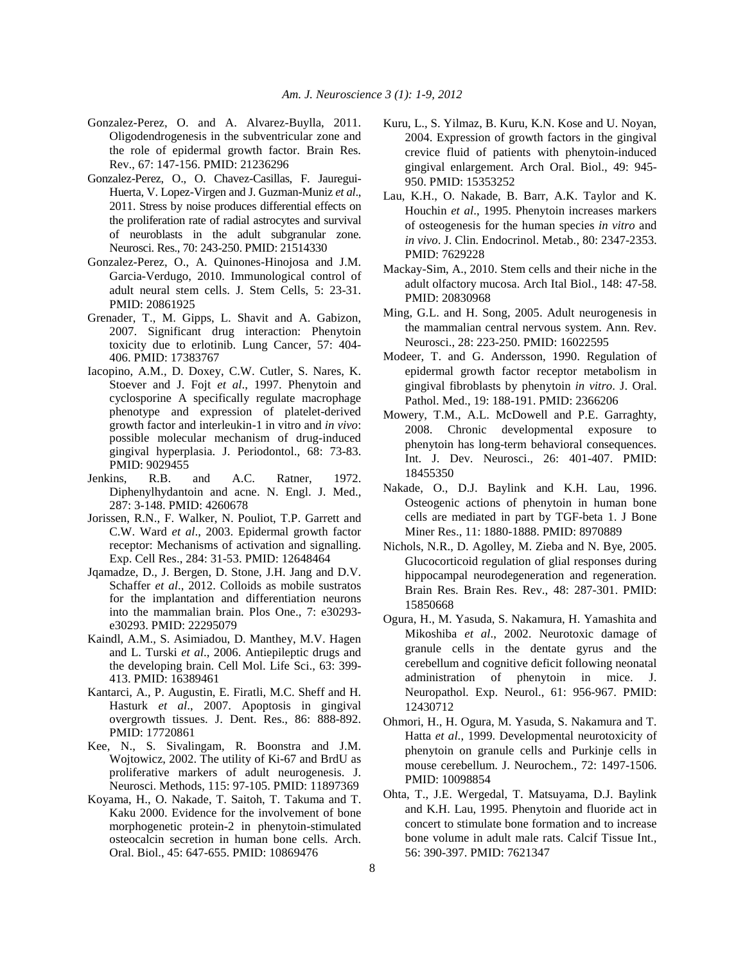- Gonzalez-Perez, O. and A. Alvarez-Buylla, 2011. Oligodendrogenesis in the subventricular zone and the role of epidermal growth factor. Brain Res. Rev., 67: 147-156. PMID: 21236296
- Gonzalez-Perez, O., O. Chavez-Casillas, F. Jauregui-Huerta, V. Lopez-Virgen and J. Guzman-Muniz *et al*., 2011. Stress by noise produces differential effects on the proliferation rate of radial astrocytes and survival of neuroblasts in the adult subgranular zone. Neurosci. Res., 70: 243-250. PMID: 21514330
- Gonzalez-Perez, O., A. Quinones-Hinojosa and J.M. Garcia-Verdugo, 2010. Immunological control of adult neural stem cells. J. Stem Cells, 5: 23-31. PMID: 20861925
- Grenader, T., M. Gipps, L. Shavit and A. Gabizon, 2007. Significant drug interaction: Phenytoin toxicity due to erlotinib. Lung Cancer, 57: 404- 406. PMID: 17383767
- Iacopino, A.M., D. Doxey, C.W. Cutler, S. Nares, K. Stoever and J. Fojt *et al*., 1997. Phenytoin and cyclosporine A specifically regulate macrophage phenotype and expression of platelet-derived growth factor and interleukin-1 in vitro and *in vivo*: possible molecular mechanism of drug-induced gingival hyperplasia. J. Periodontol., 68: 73-83. PMID: 9029455
- Jenkins, R.B. and A.C. Ratner, 1972. Diphenylhydantoin and acne. N. Engl. J. Med., 287: 3-148. PMID: 4260678
- Jorissen, R.N., F. Walker, N. Pouliot, T.P. Garrett and C.W. Ward *et al*., 2003. Epidermal growth factor receptor: Mechanisms of activation and signalling. Exp. Cell Res., 284: 31-53. PMID: 12648464
- Jqamadze, D., J. Bergen, D. Stone, J.H. Jang and D.V. Schaffer *et al*., 2012. Colloids as mobile sustratos for the implantation and differentiation neurons into the mammalian brain. Plos One., 7: e30293 e30293. PMID: 22295079
- Kaindl, A.M., S. Asimiadou, D. Manthey, M.V. Hagen and L. Turski *et al*., 2006. Antiepileptic drugs and the developing brain. Cell Mol. Life Sci., 63: 399- 413. PMID: 16389461
- Kantarci, A., P. Augustin, E. Firatli, M.C. Sheff and H. Hasturk *et al*., 2007. Apoptosis in gingival overgrowth tissues. J. Dent. Res., 86: 888-892. PMID: 17720861
- Kee, N., S. Sivalingam, R. Boonstra and J.M. Wojtowicz, 2002. The utility of Ki-67 and BrdU as proliferative markers of adult neurogenesis. J. Neurosci. Methods, 115: 97-105. PMID: 11897369
- Koyama, H., O. Nakade, T. Saitoh, T. Takuma and T. Kaku 2000. Evidence for the involvement of bone morphogenetic protein-2 in phenytoin-stimulated osteocalcin secretion in human bone cells. Arch. Oral. Biol., 45: 647-655. PMID: 10869476
- Kuru, L., S. Yilmaz, B. Kuru, K.N. Kose and U. Noyan, 2004. Expression of growth factors in the gingival crevice fluid of patients with phenytoin-induced gingival enlargement. Arch Oral. Biol., 49: 945- 950. PMID: 15353252
- Lau, K.H., O. Nakade, B. Barr, A.K. Taylor and K. Houchin *et al*., 1995. Phenytoin increases markers of osteogenesis for the human species *in vitro* and *in vivo*. J. Clin. Endocrinol. Metab., 80: 2347-2353. PMID: 7629228
- Mackay-Sim, A., 2010. Stem cells and their niche in the adult olfactory mucosa. Arch Ital Biol., 148: 47-58. PMID: 20830968
- Ming, G.L. and H. Song, 2005. Adult neurogenesis in the mammalian central nervous system. Ann. Rev. Neurosci., 28: 223-250. PMID: 16022595
- Modeer, T. and G. Andersson, 1990. Regulation of epidermal growth factor receptor metabolism in gingival fibroblasts by phenytoin *in vitro*. J. Oral. Pathol. Med., 19: 188-191. PMID: 2366206
- Mowery, T.M., A.L. McDowell and P.E. Garraghty, 2008. Chronic developmental exposure to phenytoin has long-term behavioral consequences. Int. J. Dev. Neurosci., 26: 401-407. PMID: 18455350
- Nakade, O., D.J. Baylink and K.H. Lau, 1996. Osteogenic actions of phenytoin in human bone cells are mediated in part by TGF-beta 1. J Bone Miner Res., 11: 1880-1888. PMID: 8970889
- Nichols, N.R., D. Agolley, M. Zieba and N. Bye, 2005. Glucocorticoid regulation of glial responses during hippocampal neurodegeneration and regeneration. Brain Res. Brain Res. Rev., 48: 287-301. PMID: 15850668
- Ogura, H., M. Yasuda, S. Nakamura, H. Yamashita and Mikoshiba *et al*., 2002. Neurotoxic damage of granule cells in the dentate gyrus and the cerebellum and cognitive deficit following neonatal administration of phenytoin in mice. J. Neuropathol. Exp. Neurol., 61: 956-967. PMID: 12430712
- Ohmori, H., H. Ogura, M. Yasuda, S. Nakamura and T. Hatta *et al*., 1999. Developmental neurotoxicity of phenytoin on granule cells and Purkinje cells in mouse cerebellum. J. Neurochem., 72: 1497-1506. PMID: 10098854
- Ohta, T., J.E. Wergedal, T. Matsuyama, D.J. Baylink and K.H. Lau, 1995. Phenytoin and fluoride act in concert to stimulate bone formation and to increase bone volume in adult male rats. Calcif Tissue Int., 56: 390-397. PMID: 7621347